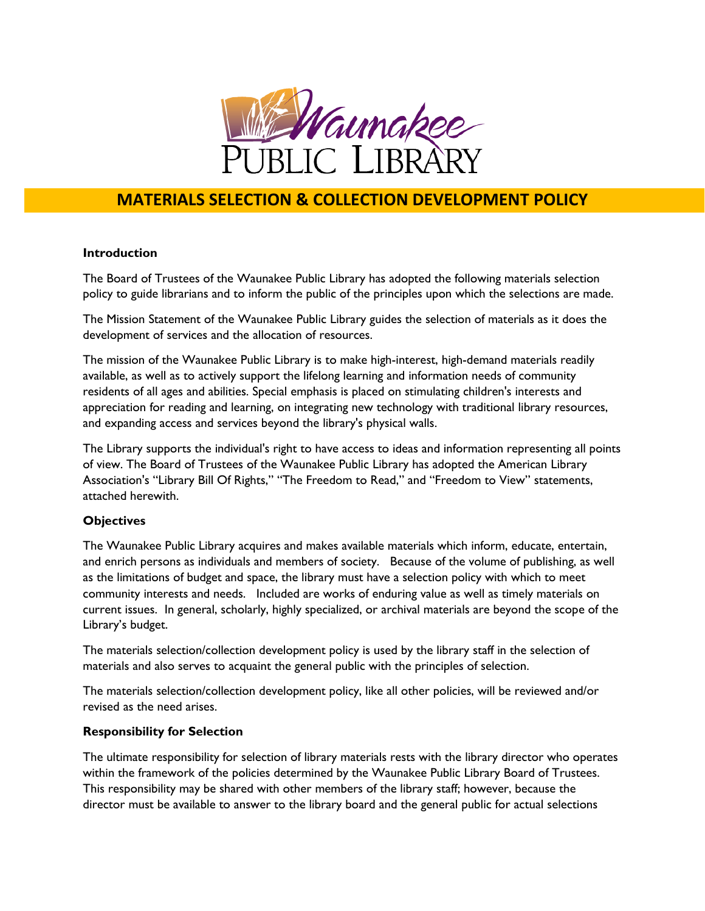

# **MATERIALS SELECTION & COLLECTION DEVELOPMENT POLICY**

#### **Introduction**

The Board of Trustees of the Waunakee Public Library has adopted the following materials selection policy to guide librarians and to inform the public of the principles upon which the selections are made.

The Mission Statement of the Waunakee Public Library guides the selection of materials as it does the development of services and the allocation of resources.

The mission of the Waunakee Public Library is to make high-interest, high-demand materials readily available, as well as to actively support the lifelong learning and information needs of community residents of all ages and abilities. Special emphasis is placed on stimulating children's interests and appreciation for reading and learning, on integrating new technology with traditional library resources, and expanding access and services beyond the library's physical walls.

The Library supports the individual's right to have access to ideas and information representing all points of view. The Board of Trustees of the Waunakee Public Library has adopted the American Library Association's "Library Bill Of Rights," "The Freedom to Read," and "Freedom to View" statements, attached herewith.

## **Objectives**

The Waunakee Public Library acquires and makes available materials which inform, educate, entertain, and enrich persons as individuals and members of society. Because of the volume of publishing, as well as the limitations of budget and space, the library must have a selection policy with which to meet community interests and needs. Included are works of enduring value as well as timely materials on current issues. In general, scholarly, highly specialized, or archival materials are beyond the scope of the Library's budget.

The materials selection/collection development policy is used by the library staff in the selection of materials and also serves to acquaint the general public with the principles of selection.

The materials selection/collection development policy, like all other policies, will be reviewed and/or revised as the need arises.

#### **Responsibility for Selection**

The ultimate responsibility for selection of library materials rests with the library director who operates within the framework of the policies determined by the Waunakee Public Library Board of Trustees. This responsibility may be shared with other members of the library staff; however, because the director must be available to answer to the library board and the general public for actual selections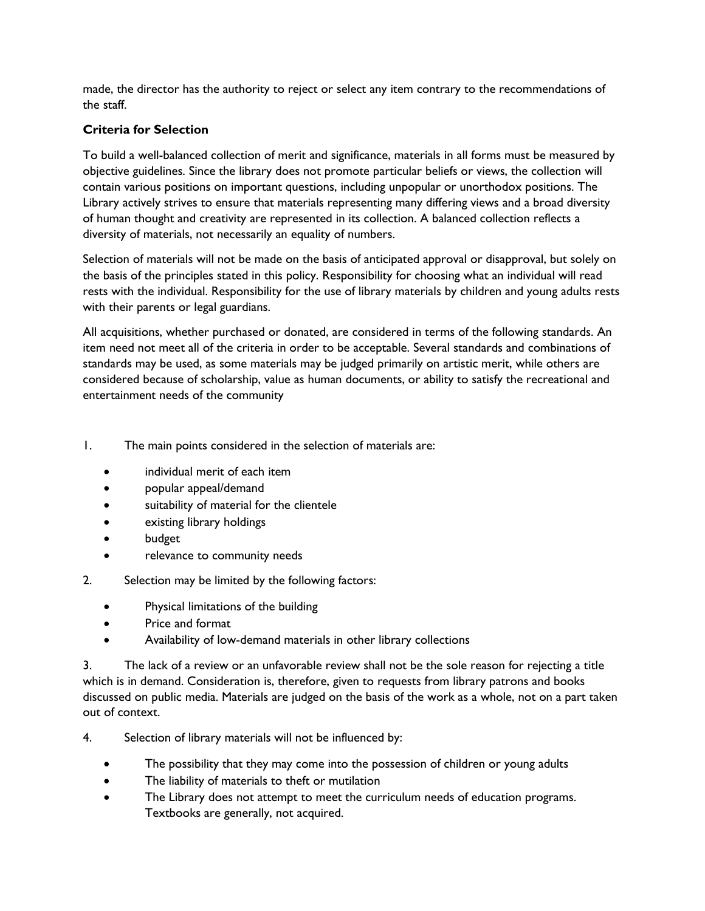made, the director has the authority to reject or select any item contrary to the recommendations of the staff.

# **Criteria for Selection**

To build a well-balanced collection of merit and significance, materials in all forms must be measured by objective guidelines. Since the library does not promote particular beliefs or views, the collection will contain various positions on important questions, including unpopular or unorthodox positions. The Library actively strives to ensure that materials representing many differing views and a broad diversity of human thought and creativity are represented in its collection. A balanced collection reflects a diversity of materials, not necessarily an equality of numbers.

Selection of materials will not be made on the basis of anticipated approval or disapproval, but solely on the basis of the principles stated in this policy. Responsibility for choosing what an individual will read rests with the individual. Responsibility for the use of library materials by children and young adults rests with their parents or legal guardians.

All acquisitions, whether purchased or donated, are considered in terms of the following standards. An item need not meet all of the criteria in order to be acceptable. Several standards and combinations of standards may be used, as some materials may be judged primarily on artistic merit, while others are considered because of scholarship, value as human documents, or ability to satisfy the recreational and entertainment needs of the community

1. The main points considered in the selection of materials are:

- individual merit of each item
- popular appeal/demand
- suitability of material for the clientele
- existing library holdings
- budget
- relevance to community needs
- 2. Selection may be limited by the following factors:
	- Physical limitations of the building
	- Price and format
	- Availability of low-demand materials in other library collections

3. The lack of a review or an unfavorable review shall not be the sole reason for rejecting a title which is in demand. Consideration is, therefore, given to requests from library patrons and books discussed on public media. Materials are judged on the basis of the work as a whole, not on a part taken out of context.

4. Selection of library materials will not be influenced by:

- The possibility that they may come into the possession of children or young adults
- The liability of materials to theft or mutilation
- The Library does not attempt to meet the curriculum needs of education programs. Textbooks are generally, not acquired.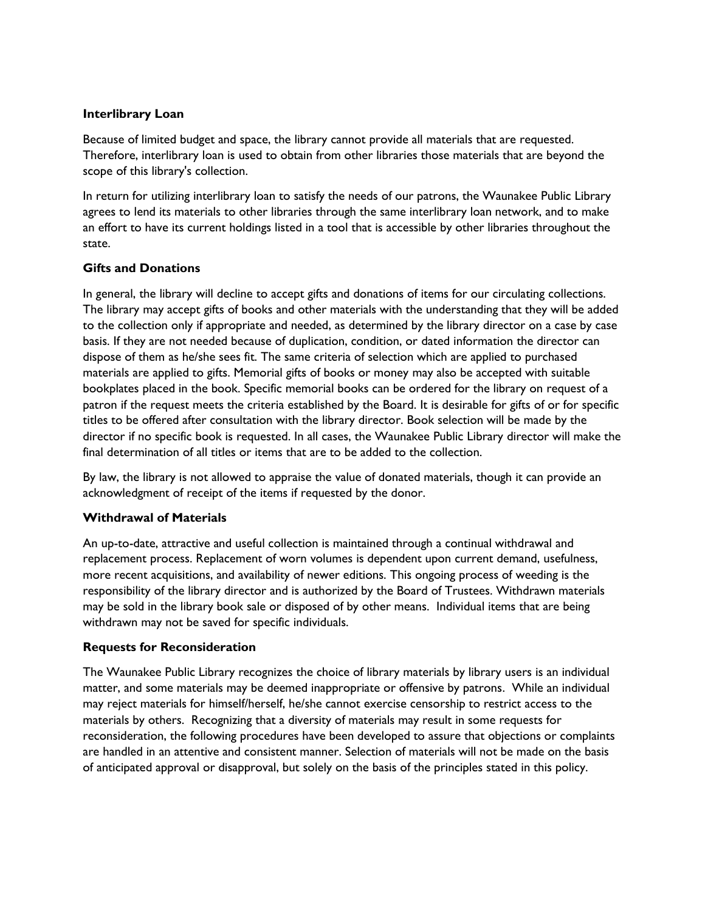### **Interlibrary Loan**

Because of limited budget and space, the library cannot provide all materials that are requested. Therefore, interlibrary loan is used to obtain from other libraries those materials that are beyond the scope of this library's collection.

In return for utilizing interlibrary loan to satisfy the needs of our patrons, the Waunakee Public Library agrees to lend its materials to other libraries through the same interlibrary loan network, and to make an effort to have its current holdings listed in a tool that is accessible by other libraries throughout the state.

#### **Gifts and Donations**

In general, the library will decline to accept gifts and donations of items for our circulating collections. The library may accept gifts of books and other materials with the understanding that they will be added to the collection only if appropriate and needed, as determined by the library director on a case by case basis. If they are not needed because of duplication, condition, or dated information the director can dispose of them as he/she sees fit. The same criteria of selection which are applied to purchased materials are applied to gifts. Memorial gifts of books or money may also be accepted with suitable bookplates placed in the book. Specific memorial books can be ordered for the library on request of a patron if the request meets the criteria established by the Board. It is desirable for gifts of or for specific titles to be offered after consultation with the library director. Book selection will be made by the director if no specific book is requested. In all cases, the Waunakee Public Library director will make the final determination of all titles or items that are to be added to the collection.

By law, the library is not allowed to appraise the value of donated materials, though it can provide an acknowledgment of receipt of the items if requested by the donor.

## **Withdrawal of Materials**

An up-to-date, attractive and useful collection is maintained through a continual withdrawal and replacement process. Replacement of worn volumes is dependent upon current demand, usefulness, more recent acquisitions, and availability of newer editions. This ongoing process of weeding is the responsibility of the library director and is authorized by the Board of Trustees. Withdrawn materials may be sold in the library book sale or disposed of by other means. Individual items that are being withdrawn may not be saved for specific individuals.

#### **Requests for Reconsideration**

The Waunakee Public Library recognizes the choice of library materials by library users is an individual matter, and some materials may be deemed inappropriate or offensive by patrons. While an individual may reject materials for himself/herself, he/she cannot exercise censorship to restrict access to the materials by others. Recognizing that a diversity of materials may result in some requests for reconsideration, the following procedures have been developed to assure that objections or complaints are handled in an attentive and consistent manner. Selection of materials will not be made on the basis of anticipated approval or disapproval, but solely on the basis of the principles stated in this policy.